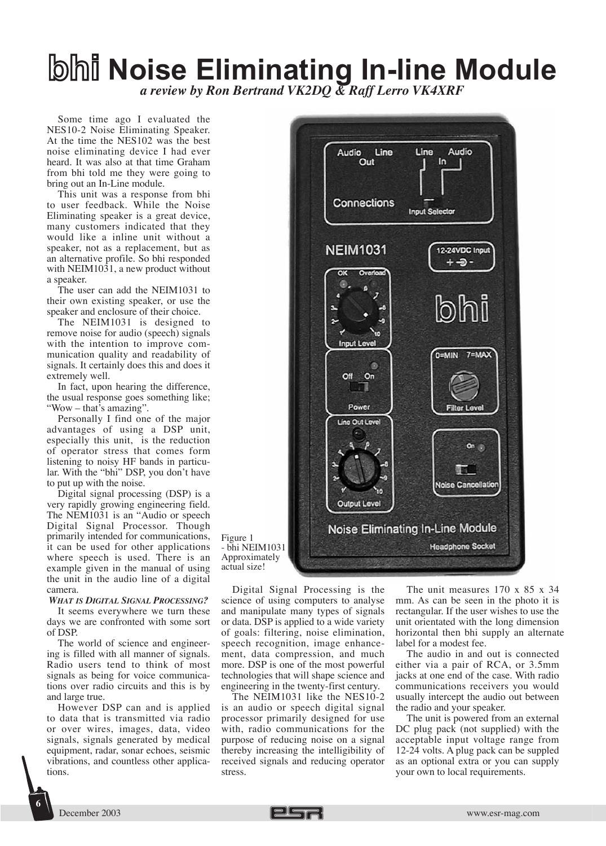## **Noise Eliminating In-line Module** *a review by Ron Bertrand VK2DQ & Raff Lerro VK4XRF*

Some time ago I evaluated the NES10-2 Noise Eliminating Speaker. At the time the NES102 was the best noise eliminating device I had ever heard. It was also at that time Graham from bhi told me they were going to bring out an In-Line module.

This unit was a response from bhi to user feedback. While the Noise Eliminating speaker is a great device, many customers indicated that they would like a inline unit without a speaker, not as a replacement, but as an alternative profile. So bhi responded with NEIM1031, a new product without a speaker.

The user can add the NEIM1031 to their own existing speaker, or use the speaker and enclosure of their choice.

The NEIM1031 is designed to remove noise for audio (speech) signals with the intention to improve communication quality and readability of signals. It certainly does this and does it extremely well.

In fact, upon hearing the difference, the usual response goes something like; "Wow – that's amazing".

Personally I find one of the major advantages of using a DSP unit, especially this unit, is the reduction of operator stress that comes form listening to noisy HF bands in particular. With the "bhi" DSP, you don't have to put up with the noise.

Digital signal processing (DSP) is a very rapidly growing engineering field. The NEM1031 is an "Audio or speech Digital Signal Processor. Though primarily intended for communications, it can be used for other applications where speech is used. There is an example given in the manual of using the unit in the audio line of a digital camera.

*WHAT IS DIGITAL SIGNAL PROCESSING?* 

It seems everywhere we turn these days we are confronted with some sort of DSP.

The world of science and engineering is filled with all manner of signals. Radio users tend to think of most signals as being for voice communications over radio circuits and this is by and large true.

However DSP can and is applied to data that is transmitted via radio or over wires, images, data, video signals, signals generated by medical equipment, radar, sonar echoes, seismic vibrations, and countless other applications.



Figure 1 - bhi NEIM1031 Approximately actual size!

Digital Signal Processing is the science of using computers to analyse and manipulate many types of signals or data. DSP is applied to a wide variety of goals: filtering, noise elimination, speech recognition, image enhancement, data compression, and much more. DSP is one of the most powerful technologies that will shape science and engineering in the twenty-first century.

The NEIM1031 like the NES10-2 is an audio or speech digital signal processor primarily designed for use with, radio communications for the purpose of reducing noise on a signal thereby increasing the intelligibility of received signals and reducing operator stress.

The unit measures 170 x 85 x 34 mm. As can be seen in the photo it is rectangular. If the user wishes to use the unit orientated with the long dimension horizontal then bhi supply an alternate label for a modest fee.

The audio in and out is connected either via a pair of RCA, or 3.5mm jacks at one end of the case. With radio communications receivers you would usually intercept the audio out between the radio and your speaker.

The unit is powered from an external DC plug pack (not supplied) with the acceptable input voltage range from 12-24 volts. A plug pack can be suppled as an optional extra or you can supply your own to local requirements.

**6**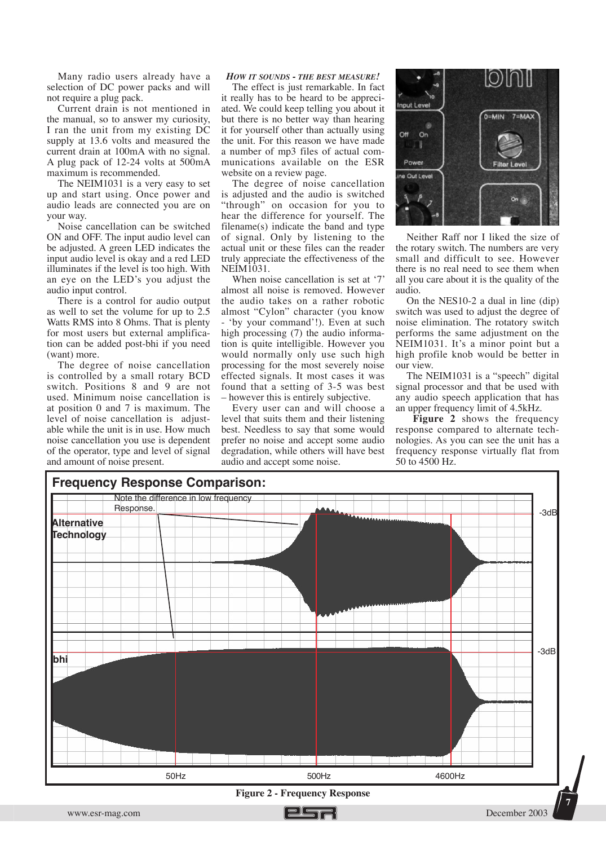Many radio users already have a selection of DC power packs and will not require a plug pack.

Current drain is not mentioned in the manual, so to answer my curiosity, I ran the unit from my existing DC supply at 13.6 volts and measured the current drain at 100mA with no signal. A plug pack of 12-24 volts at  $500mA$ maximum is recommended.

The NEIM1031 is a very easy to set up and start using. Once power and audio leads are connected you are on your way.

Noise cancellation can be switched ON and OFF. The input audio level can be adjusted. A green LED indicates the input audio level is okay and a red LED illuminates if the level is too high. With an eye on the LED's you adjust the audio input control.

There is a control for audio output as well to set the volume for up to 2.5 Watts RMS into 8 Ohms. That is plenty for most users but external amplification can be added post-bhi if you need (want) more.

The degree of noise cancellation is controlled by a small rotary BCD switch. Positions 8 and 9 are not used. Minimum noise cancellation is at position 0 and 7 is maximum. The level of noise cancellation is adjustable while the unit is in use. How much noise cancellation you use is dependent of the operator, type and level of signal and amount of noise present.

## *HOW IT SOUNDS - THE BEST MEASURE!*

The effect is just remarkable. In fact it really has to be heard to be appreciated. We could keep telling you about it but there is no better way than hearing it for yourself other than actually using the unit. For this reason we have made a number of mp3 files of actual communications available on the ESR website on a review page.

The degree of noise cancellation is adjusted and the audio is switched "through" on occasion for you to hear the difference for yourself. The filename(s) indicate the band and type of signal. Only by listening to the actual unit or these files can the reader truly appreciate the effectiveness of the NEIM1031.

When noise cancellation is set at '7' almost all noise is removed. However the audio takes on a rather robotic almost "Cylon" character (you know - 'by your command'!). Even at such high processing (7) the audio information is quite intelligible. However you would normally only use such high processing for the most severely noise effected signals. It most cases it was found that a setting of 3-5 was best – however this is entirely subjective.

Every user can and will choose a level that suits them and their listening best. Needless to say that some would prefer no noise and accept some audio degradation, while others will have best audio and accept some noise.



Neither Raff nor I liked the size of the rotary switch. The numbers are very small and difficult to see. However there is no real need to see them when all you care about it is the quality of the audio.

On the NES10-2 a dual in line (dip) switch was used to adjust the degree of noise elimination. The rotatory switch performs the same adjustment on the NEIM1031. It's a minor point but a high profile knob would be better in our view.

The NEIM1031 is a "speech" digital signal processor and that be used with any audio speech application that has an upper frequency limit of 4.5kHz.

**Figure 2** shows the frequency response compared to alternate technologies. As you can see the unit has a frequency response virtually flat from 50 to 4500 Hz.